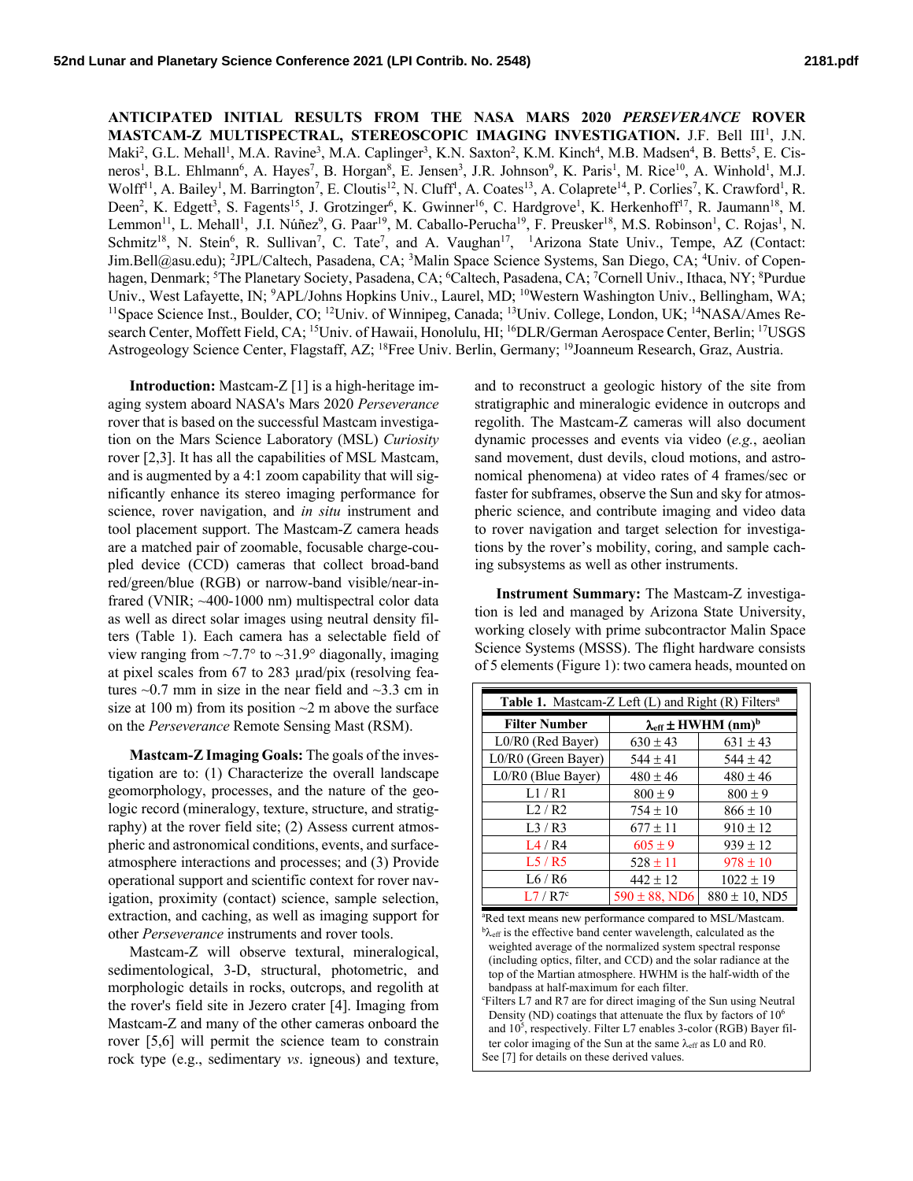**ANTICIPATED INITIAL RESULTS FROM THE NASA MARS 2020** *PERSEVERANCE* **ROVER**  MASTCAM-Z MULTISPECTRAL, STEREOSCOPIC IMAGING INVESTIGATION. J.F. Bell III<sup>1</sup>, J.N. Maki<sup>2</sup>, G.L. Mehall<sup>1</sup>, M.A. Ravine<sup>3</sup>, M.A. Caplinger<sup>3</sup>, K.N. Saxton<sup>2</sup>, K.M. Kinch<sup>4</sup>, M.B. Madsen<sup>4</sup>, B. Betts<sup>5</sup>, E. Cisneros<sup>1</sup>, B.L. Ehlmann<sup>6</sup>, A. Hayes<sup>7</sup>, B. Horgan<sup>8</sup>, E. Jensen<sup>3</sup>, J.R. Johnson<sup>9</sup>, K. Paris<sup>1</sup>, M. Rice<sup>10</sup>, A. Winhold<sup>1</sup>, M.J. Wolff<sup>11</sup>, A. Bailey<sup>1</sup>, M. Barrington<sup>7</sup>, E. Cloutis<sup>12</sup>, N. Cluff<sup>1</sup>, A. Coates<sup>13</sup>, A. Colaprete<sup>14</sup>, P. Corlies<sup>7</sup>, K. Crawford<sup>1</sup>, R. Deen<sup>2</sup>, K. Edgett<sup>3</sup>, S. Fagents<sup>15</sup>, J. Grotzinger<sup>6</sup>, K. Gwinner<sup>16</sup>, C. Hardgrove<sup>1</sup>, K. Herkenhoff<sup>17</sup>, R. Jaumann<sup>18</sup>, M. Lemmon<sup>11</sup>, L. Mehall<sup>1</sup>, J.I. Núñez<sup>9</sup>, G. Paar<sup>19</sup>, M. Caballo-Perucha<sup>19</sup>, F. Preusker<sup>18</sup>, M.S. Robinson<sup>1</sup>, C. Rojas<sup>1</sup>, N. Schmitz<sup>18</sup>, N. Stein<sup>6</sup>, R. Sullivan<sup>7</sup>, C. Tate<sup>7</sup>, and A. Vaughan<sup>17</sup>, <sup>1</sup>Arizona State Univ., Tempe, AZ (Contact: Jim.Bell@asu.edu); <sup>2</sup>JPL/Caltech, Pasadena, CA; <sup>3</sup>Malin Space Science Systems, San Diego, CA; <sup>4</sup>Univ. of Copenhagen, Denmark; <sup>5</sup>The Planetary Society, Pasadena, CA; <sup>6</sup>Caltech, Pasadena, CA; <sup>7</sup>Cornell Univ., Ithaca, NY; <sup>8</sup>Purdue Univ., West Lafayette, IN; <sup>9</sup>APL/Johns Hopkins Univ., Laurel, MD; <sup>10</sup>Western Washington Univ., Bellingham, WA; <sup>11</sup>Space Science Inst., Boulder, CO; <sup>12</sup>Univ. of Winnipeg, Canada; <sup>13</sup>Univ. College, London, UK; <sup>14</sup>NASA/ search Center, Moffett Field, CA; <sup>15</sup>Univ. of Hawaii, Honolulu, HI; <sup>16</sup>DLR/German Aerospace Center, Berlin; <sup>17</sup>USGS Astrogeology Science Center, Flagstaff, AZ; 18Free Univ. Berlin, Germany; 19Joanneum Research, Graz, Austria.

**Introduction:** Mastcam-Z [1] is a high-heritage imaging system aboard NASA's Mars 2020 *Perseverance* rover that is based on the successful Mastcam investigation on the Mars Science Laboratory (MSL) *Curiosity* rover [2,3]. It has all the capabilities of MSL Mastcam, and is augmented by a 4:1 zoom capability that will significantly enhance its stereo imaging performance for science, rover navigation, and *in situ* instrument and tool placement support. The Mastcam-Z camera heads are a matched pair of zoomable, focusable charge-coupled device (CCD) cameras that collect broad-band red/green/blue (RGB) or narrow-band visible/near-infrared (VNIR; ~400-1000 nm) multispectral color data as well as direct solar images using neutral density filters (Table 1). Each camera has a selectable field of view ranging from  $\sim$  7.7° to  $\sim$  31.9° diagonally, imaging at pixel scales from 67 to 283 µrad/pix (resolving features  $\sim$ 0.7 mm in size in the near field and  $\sim$ 3.3 cm in size at 100 m) from its position  $\sim$ 2 m above the surface on the *Perseverance* Remote Sensing Mast (RSM).

**Mastcam-Z Imaging Goals:** The goals of the investigation are to: (1) Characterize the overall landscape geomorphology, processes, and the nature of the geologic record (mineralogy, texture, structure, and stratigraphy) at the rover field site; (2) Assess current atmospheric and astronomical conditions, events, and surfaceatmosphere interactions and processes; and (3) Provide operational support and scientific context for rover navigation, proximity (contact) science, sample selection, extraction, and caching, as well as imaging support for other *Perseverance* instruments and rover tools.

Mastcam-Z will observe textural, mineralogical, sedimentological, 3-D, structural, photometric, and morphologic details in rocks, outcrops, and regolith at the rover's field site in Jezero crater [4]. Imaging from Mastcam-Z and many of the other cameras onboard the rover [5,6] will permit the science team to constrain rock type (e.g., sedimentary *vs*. igneous) and texture, and to reconstruct a geologic history of the site from stratigraphic and mineralogic evidence in outcrops and regolith. The Mastcam-Z cameras will also document dynamic processes and events via video (*e.g.*, aeolian sand movement, dust devils, cloud motions, and astronomical phenomena) at video rates of 4 frames/sec or faster for subframes, observe the Sun and sky for atmospheric science, and contribute imaging and video data to rover navigation and target selection for investigations by the rover's mobility, coring, and sample caching subsystems as well as other instruments.

**Instrument Summary:** The Mastcam-Z investigation is led and managed by Arizona State University, working closely with prime subcontractor Malin Space Science Systems (MSSS). The flight hardware consists of 5 elements (Figure 1): two camera heads, mounted on

| <b>Table 1.</b> Mastcam-Z Left $(L)$ and Right $(R)$ Filters <sup>a</sup> |                                              |                    |
|---------------------------------------------------------------------------|----------------------------------------------|--------------------|
| <b>Filter Number</b>                                                      | $\lambda_{\rm eff}$ ± HWHM (nm) <sup>b</sup> |                    |
| L0/R0 (Red Bayer)                                                         | $630 \pm 43$                                 | $631 \pm 43$       |
| L0/R0 (Green Bayer)                                                       | $544 \pm 41$                                 | $544 \pm 42$       |
| L0/R0 (Blue Bayer)                                                        | $480 \pm 46$                                 | $480 \pm 46$       |
| 1/RI                                                                      | $800 \pm 9$                                  | $800 \pm 9$        |
| L2/R2                                                                     | $754 \pm 10$                                 | $866 \pm 10$       |
| L3/R3                                                                     | $677 \pm 11$                                 | $910 \pm 12$       |
| L4/R4                                                                     | $605 \pm 9$                                  | $939 \pm 12$       |
| L5/R5                                                                     | $528 \pm 11$                                 | $978 \pm 10$       |
| L6 / R6                                                                   | $442 \pm 12$                                 | $1022 \pm 19$      |
| L7/R7c                                                                    | $590 \pm 88$ , ND6                           | $880 \pm 10$ , ND5 |

a Red text means new performance compared to MSL/Mastcam.  ${}^{\text{b}}\lambda_{\text{eff}}$  is the effective band center wavelength, calculated as the weighted average of the normalized system spectral response (including optics, filter, and CCD) and the solar radiance at the top of the Martian atmosphere. HWHM is the half-width of the bandpass at half-maximum for each filter.

c Filters L7 and R7 are for direct imaging of the Sun using Neutral Density (ND) coatings that attenuate the flux by factors of  $10<sup>6</sup>$ and  $10^5$ , respectively. Filter L7 enables 3-color (RGB) Bayer filter color imaging of the Sun at the same  $\lambda_{\text{eff}}$  as L0 and R0. See [7] for details on these derived values.